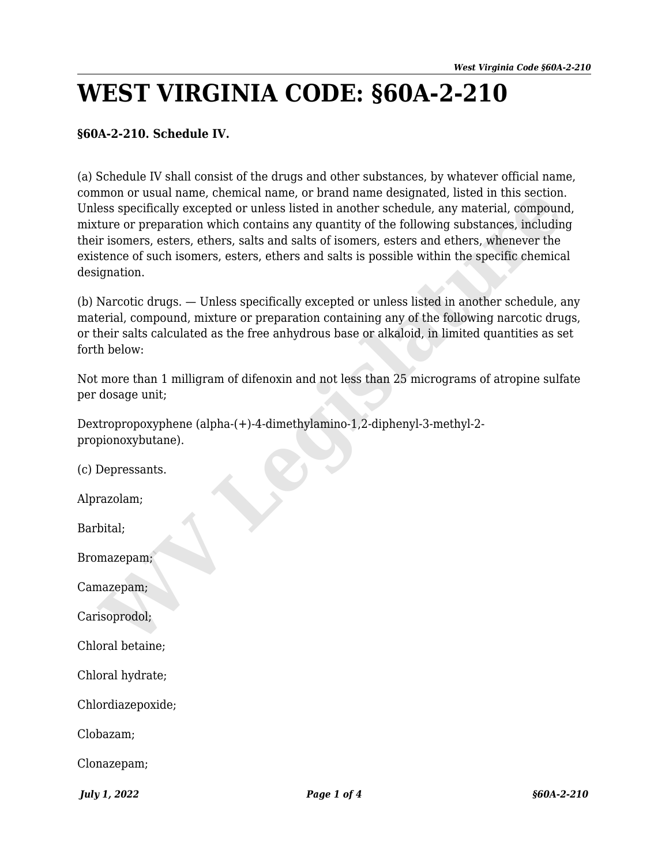## **WEST VIRGINIA CODE: §60A-2-210**

## **§60A-2-210. Schedule IV.**

(a) Schedule IV shall consist of the drugs and other substances, by whatever official name, common or usual name, chemical name, or brand name designated, listed in this section. Unless specifically excepted or unless listed in another schedule, any material, compound, mixture or preparation which contains any quantity of the following substances, including their isomers, esters, ethers, salts and salts of isomers, esters and ethers, whenever the existence of such isomers, esters, ethers and salts is possible within the specific chemical designation. mon or usual name, chemcal name, or prand name designated, listed in this section.<br>There is specifically excepted or unless listed in another schedule, any material, compound<br>ture or preparation which contains any quantity

(b) Narcotic drugs. — Unless specifically excepted or unless listed in another schedule, any material, compound, mixture or preparation containing any of the following narcotic drugs, or their salts calculated as the free anhydrous base or alkaloid, in limited quantities as set forth below:

Not more than 1 milligram of difenoxin and not less than 25 micrograms of atropine sulfate per dosage unit;

Dextropropoxyphene (alpha-(+)-4-dimethylamino-1,2-diphenyl-3-methyl-2 propionoxybutane).

(c) Depressants. Alprazolam; Barbital; Bromazepam; Camazepam; Carisoprodol; Chloral betaine; Chloral hydrate; Chlordiazepoxide; Clobazam; Clonazepam;

*July 1, 2022 Page 1 of 4 §60A-2-210*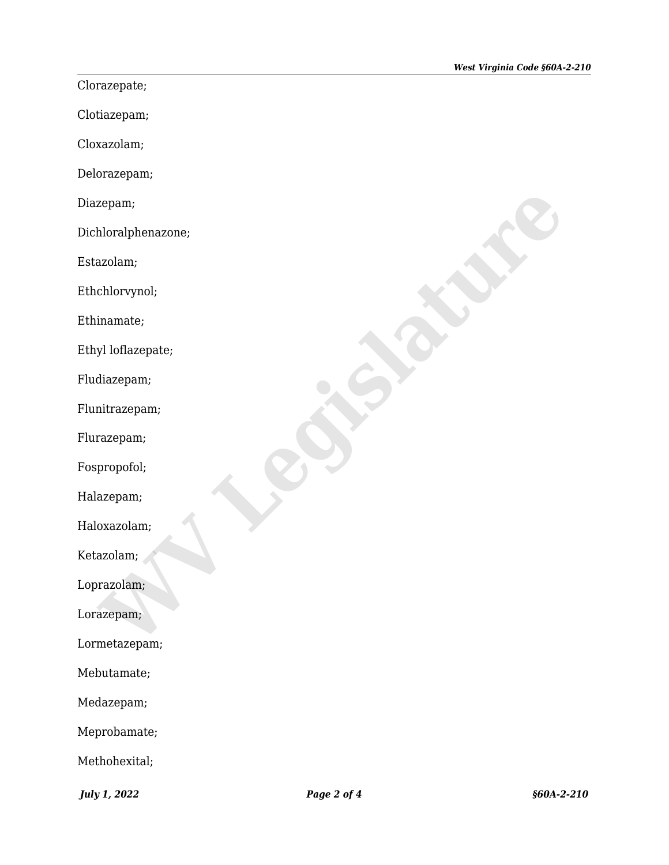Clorazepate;

Clotiazepam;

Cloxazolam;

Delorazepam;

Diazepam;

Dichloralphenazone; zepam;<br>hloralphenazone;<br>chloryynol;<br>inamate;<br>yl loflazepate;<br>diazepam;<br>titrazepam;<br>propofol;<br>azepam;<br>azolam;<br>azolam;<br>azolam;<br>azolam;<br>azolam;<br>azolam;<br>azolam;<br>azolam;<br>azolam;<br>metazepam;<br>azolam;<br>azolam;

Estazolam;

Ethchlorvynol;

Ethinamate;

Ethyl loflazepate;

Fludiazepam;

Flunitrazepam;

Flurazepam;

Fospropofol;

Halazepam;

Haloxazolam;

Ketazolam;

Loprazolam;

Lorazepam;

Lormetazepam;

Mebutamate;

Medazepam;

Meprobamate;

Methohexital;

*July 1, 2022 Page 2 of 4 §60A-2-210*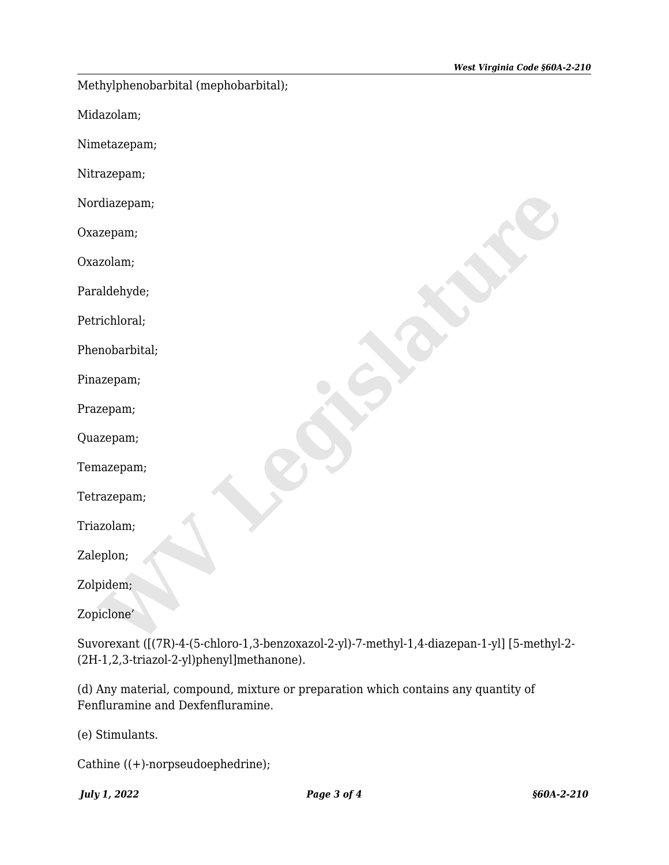Midazolam; Nimetazepam; Nitrazepam; Nordiazepam; Oxazepam; Oxazolam; Paraldehyde; Petrichloral; Phenobarbital; Pinazepam; Prazepam; Quazepam; Temazepam; Tetrazepam; Triazolam; Zaleplon; Zolpidem; Zopiclone' rdiazepam;<br>
xzepam;<br>
xzepam;<br>
aldehyde;<br>
mobarbital;<br>
azepam;<br>
xzepam;<br>
xzepam;<br>
xzepam;<br>
xzepam;<br>
xzepam;<br>
xzepam;<br>
xzepam;<br>
xzepam;<br>
xidem;<br>
xidem;<br>
xidem;<br>
xidem;<br>
xidem;<br>
xidem;<br>
xidem;<br>
xidem;<br>
xidem;<br>
xidem;<br>
xidem;<br>

Suvorexant ([(7R)-4-(5-chloro-1,3-benzoxazol-2-yl)-7-methyl-1,4-diazepan-1-yl] [5-methyl-2- (2H-1,2,3-triazol-2-yl)phenyl]methanone).

(d) Any material, compound, mixture or preparation which contains any quantity of Fenfluramine and Dexfenfluramine.

(e) Stimulants.

Cathine ((+)-norpseudoephedrine);

Methylphenobarbital (mephobarbital);